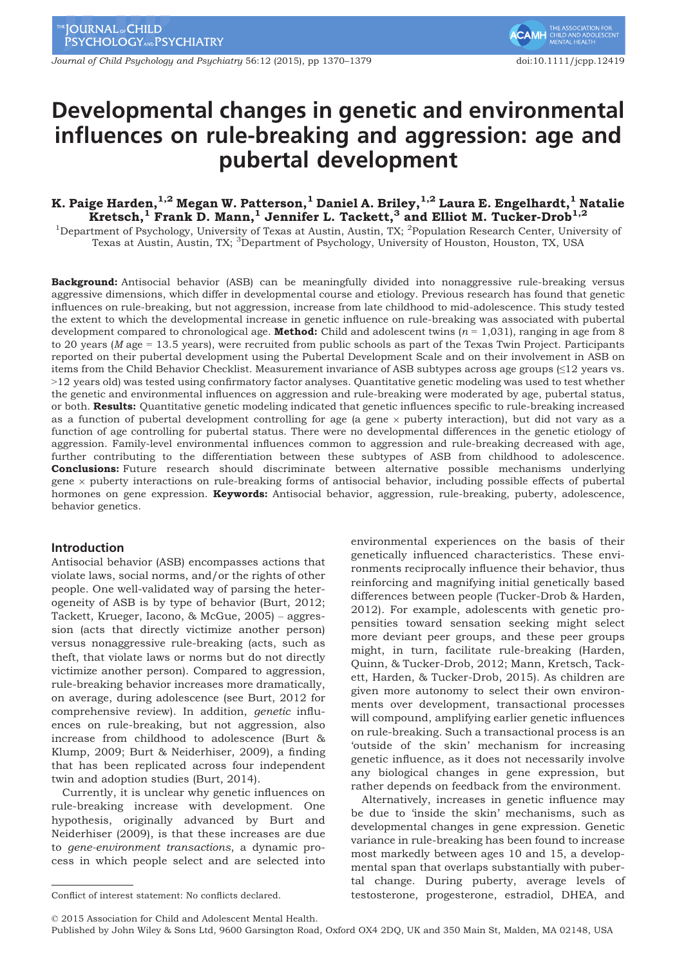Journal of Child Psychology and Psychiatry 56:12 (2015), pp 1370–1379 doi:10.1111/jcpp.12419

# Developmental changes in genetic and environmental influences on rule-breaking and aggression: age and pubertal development

# K. Paige Harden, $^{1,2}$  Megan W. Patterson, $^1$  Daniel A. Briley, $^{1,2}$  Laura E. Engelhardt, $^1$  Natalie Kretsch,<sup>1</sup> Frank D. Mann,<sup>1</sup> Jennifer L. Tackett,<sup>3</sup> and Elliot M. Tucker-Drob<sup>1,2</sup>

<sup>1</sup>Department of Psychology, University of Texas at Austin, Austin, TX; <sup>2</sup>Population Research Center, University of Texas at Austin, Austin, TX; <sup>3</sup>Department of Psychology, University of Houston, Houston, TX, USA

Background: Antisocial behavior (ASB) can be meaningfully divided into nonaggressive rule-breaking versus aggressive dimensions, which differ in developmental course and etiology. Previous research has found that genetic influences on rule-breaking, but not aggression, increase from late childhood to mid-adolescence. This study tested the extent to which the developmental increase in genetic influence on rule-breaking was associated with pubertal development compared to chronological age. **Method:** Child and adolescent twins  $(n = 1,031)$ , ranging in age from 8 to 20 years (M age = 13.5 years), were recruited from public schools as part of the Texas Twin Project. Participants reported on their pubertal development using the Pubertal Development Scale and on their involvement in ASB on items from the Child Behavior Checklist. Measurement invariance of ASB subtypes across age groups (≤12 years vs. >12 years old) was tested using confirmatory factor analyses. Quantitative genetic modeling was used to test whether the genetic and environmental influences on aggression and rule-breaking were moderated by age, pubertal status, or both. Results: Quantitative genetic modeling indicated that genetic influences specific to rule-breaking increased as a function of pubertal development controlling for age (a gene  $\times$  puberty interaction), but did not vary as a function of age controlling for pubertal status. There were no developmental differences in the genetic etiology of aggression. Family-level environmental influences common to aggression and rule-breaking decreased with age, further contributing to the differentiation between these subtypes of ASB from childhood to adolescence. **Conclusions:** Future research should discriminate between alternative possible mechanisms underlying gene  $\times$  puberty interactions on rule-breaking forms of antisocial behavior, including possible effects of pubertal hormones on gene expression. **Keywords:** Antisocial behavior, aggression, rule-breaking, puberty, adolescence, behavior genetics.

# Introduction

Antisocial behavior (ASB) encompasses actions that violate laws, social norms, and/or the rights of other people. One well-validated way of parsing the heterogeneity of ASB is by type of behavior (Burt, 2012; Tackett, Krueger, Iacono, & McGue, 2005) – aggression (acts that directly victimize another person) versus nonaggressive rule-breaking (acts, such as theft, that violate laws or norms but do not directly victimize another person). Compared to aggression, rule-breaking behavior increases more dramatically, on average, during adolescence (see Burt, 2012 for comprehensive review). In addition, genetic influences on rule-breaking, but not aggression, also increase from childhood to adolescence (Burt & Klump, 2009; Burt & Neiderhiser, 2009), a finding that has been replicated across four independent twin and adoption studies (Burt, 2014).

Currently, it is unclear why genetic influences on rule-breaking increase with development. One hypothesis, originally advanced by Burt and Neiderhiser (2009), is that these increases are due to gene-environment transactions, a dynamic process in which people select and are selected into

environmental experiences on the basis of their genetically influenced characteristics. These environments reciprocally influence their behavior, thus reinforcing and magnifying initial genetically based differences between people (Tucker-Drob & Harden, 2012). For example, adolescents with genetic propensities toward sensation seeking might select more deviant peer groups, and these peer groups might, in turn, facilitate rule-breaking (Harden, Quinn, & Tucker-Drob, 2012; Mann, Kretsch, Tackett, Harden, & Tucker-Drob, 2015). As children are given more autonomy to select their own environments over development, transactional processes will compound, amplifying earlier genetic influences on rule-breaking. Such a transactional process is an 'outside of the skin' mechanism for increasing genetic influence, as it does not necessarily involve any biological changes in gene expression, but rather depends on feedback from the environment.

Alternatively, increases in genetic influence may be due to 'inside the skin' mechanisms, such as developmental changes in gene expression. Genetic variance in rule-breaking has been found to increase most markedly between ages 10 and 15, a developmental span that overlaps substantially with pubertal change. During puberty, average levels of Conflict of interest statement: No conflicts declared. testosterone, progesterone, estradiol, DHEA, and

© 2015 Association for Child and Adolescent Mental Health.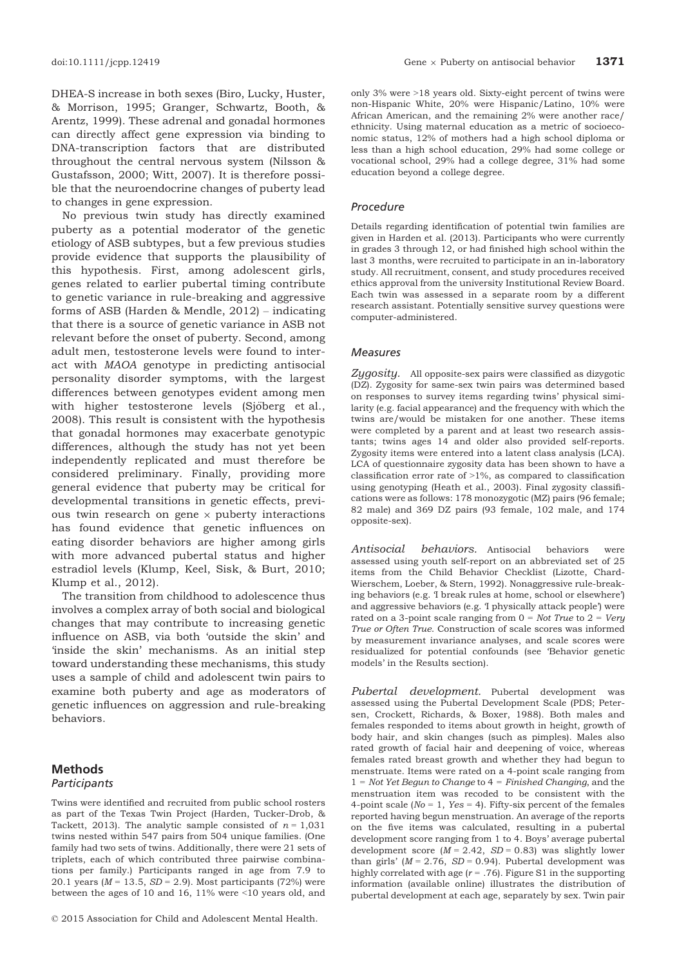DHEA-S increase in both sexes (Biro, Lucky, Huster, & Morrison, 1995; Granger, Schwartz, Booth, & Arentz, 1999). These adrenal and gonadal hormones can directly affect gene expression via binding to DNA-transcription factors that are distributed throughout the central nervous system (Nilsson & Gustafsson, 2000; Witt, 2007). It is therefore possible that the neuroendocrine changes of puberty lead to changes in gene expression.

No previous twin study has directly examined puberty as a potential moderator of the genetic etiology of ASB subtypes, but a few previous studies provide evidence that supports the plausibility of this hypothesis. First, among adolescent girls, genes related to earlier pubertal timing contribute to genetic variance in rule-breaking and aggressive forms of ASB (Harden & Mendle, 2012) – indicating that there is a source of genetic variance in ASB not relevant before the onset of puberty. Second, among adult men, testosterone levels were found to interact with MAOA genotype in predicting antisocial personality disorder symptoms, with the largest differences between genotypes evident among men with higher testosterone levels (Sjöberg et al., 2008). This result is consistent with the hypothesis that gonadal hormones may exacerbate genotypic differences, although the study has not yet been independently replicated and must therefore be considered preliminary. Finally, providing more general evidence that puberty may be critical for developmental transitions in genetic effects, previous twin research on gene  $\times$  puberty interactions has found evidence that genetic influences on eating disorder behaviors are higher among girls with more advanced pubertal status and higher estradiol levels (Klump, Keel, Sisk, & Burt, 2010; Klump et al., 2012).

The transition from childhood to adolescence thus involves a complex array of both social and biological changes that may contribute to increasing genetic influence on ASB, via both 'outside the skin' and 'inside the skin' mechanisms. As an initial step toward understanding these mechanisms, this study uses a sample of child and adolescent twin pairs to examine both puberty and age as moderators of genetic influences on aggression and rule-breaking behaviors.

# Methods

## **Participants**

Twins were identified and recruited from public school rosters as part of the Texas Twin Project (Harden, Tucker-Drob, & Tackett, 2013). The analytic sample consisted of  $n = 1,031$ twins nested within 547 pairs from 504 unique families. (One family had two sets of twins. Additionally, there were 21 sets of triplets, each of which contributed three pairwise combinations per family.) Participants ranged in age from 7.9 to 20.1 years ( $M = 13.5$ ,  $SD = 2.9$ ). Most participants (72%) were between the ages of 10 and 16, 11% were <10 years old, and

only 3% were >18 years old. Sixty-eight percent of twins were non-Hispanic White, 20% were Hispanic/Latino, 10% were African American, and the remaining 2% were another race/ ethnicity. Using maternal education as a metric of socioeconomic status, 12% of mothers had a high school diploma or less than a high school education, 29% had some college or vocational school, 29% had a college degree, 31% had some education beyond a college degree.

#### Procedure

Details regarding identification of potential twin families are given in Harden et al. (2013). Participants who were currently in grades 3 through 12, or had finished high school within the last 3 months, were recruited to participate in an in-laboratory study. All recruitment, consent, and study procedures received ethics approval from the university Institutional Review Board. Each twin was assessed in a separate room by a different research assistant. Potentially sensitive survey questions were computer-administered.

#### Measures

Zygosity. All opposite-sex pairs were classified as dizygotic (DZ). Zygosity for same-sex twin pairs was determined based on responses to survey items regarding twins' physical similarity (e.g. facial appearance) and the frequency with which the twins are/would be mistaken for one another. These items were completed by a parent and at least two research assistants; twins ages 14 and older also provided self-reports. Zygosity items were entered into a latent class analysis (LCA). LCA of questionnaire zygosity data has been shown to have a classification error rate of  $>1\%$ , as compared to classification using genotyping (Heath et al., 2003). Final zygosity classifications were as follows: 178 monozygotic (MZ) pairs (96 female; 82 male) and 369 DZ pairs (93 female, 102 male, and 174 opposite-sex).

Antisocial behaviors. Antisocial behaviors were assessed using youth self-report on an abbreviated set of 25 items from the Child Behavior Checklist (Lizotte, Chard-Wierschem, Loeber, & Stern, 1992). Nonaggressive rule-breaking behaviors (e.g. 'I break rules at home, school or elsewhere') and aggressive behaviors (e.g. 'I physically attack people') were rated on a 3-point scale ranging from  $0 = Not$  True to  $2 = Very$ True or Often True. Construction of scale scores was informed by measurement invariance analyses, and scale scores were residualized for potential confounds (see 'Behavior genetic models' in the Results section).

Pubertal development. Pubertal development was assessed using the Pubertal Development Scale (PDS; Petersen, Crockett, Richards, & Boxer, 1988). Both males and females responded to items about growth in height, growth of body hair, and skin changes (such as pimples). Males also rated growth of facial hair and deepening of voice, whereas females rated breast growth and whether they had begun to menstruate. Items were rated on a 4-point scale ranging from  $1 = Not Yet Begun to Change to 4 = Finished Changing, and the$ menstruation item was recoded to be consistent with the 4-point scale ( $No = 1$ ,  $Yes = 4$ ). Fifty-six percent of the females reported having begun menstruation. An average of the reports on the five items was calculated, resulting in a pubertal development score ranging from 1 to 4. Boys' average pubertal development score  $(M = 2.42, SD = 0.83)$  was slightly lower than girls' ( $M = 2.76$ ,  $SD = 0.94$ ). Pubertal development was highly correlated with age ( $r = .76$ ). Figure S1 in the supporting information (available online) illustrates the distribution of pubertal development at each age, separately by sex. Twin pair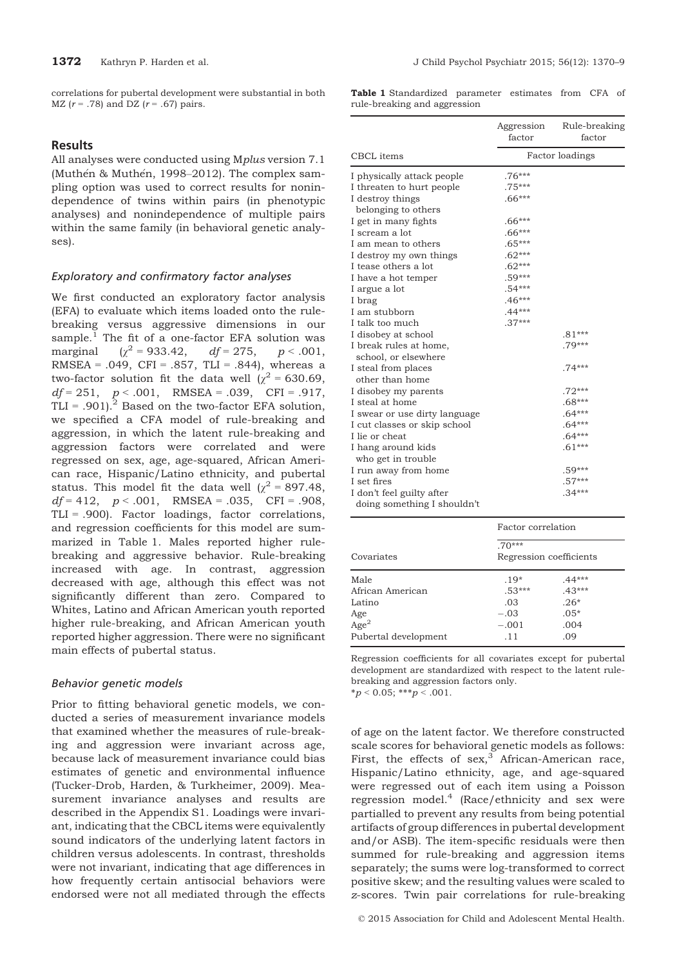correlations for pubertal development were substantial in both  $MZ (r = .78)$  and DZ  $(r = .67)$  pairs.

#### **Results**

All analyses were conducted using Mplus version 7.1 (Muthén & Muthén, 1998–2012). The complex sampling option was used to correct results for nonindependence of twins within pairs (in phenotypic analyses) and nonindependence of multiple pairs within the same family (in behavioral genetic analyses).

#### Exploratory and confirmatory factor analyses

We first conducted an exploratory factor analysis (EFA) to evaluate which items loaded onto the rulebreaking versus aggressive dimensions in our sample.<sup>1</sup> The fit of a one-factor EFA solution was marginal  $(\chi^2 = 933.42, \quad df = 275, \quad p < .001,$ RMSEA = .049, CFI = .857, TLI = .844), whereas a two-factor solution fit the data well ( $\chi^2$  = 630.69,  $df = 251$ ,  $p < .001$ , RMSEA = .039, CFI = .917, TLI = .901).<sup>2</sup> Based on the two-factor EFA solution, we specified a CFA model of rule-breaking and aggression, in which the latent rule-breaking and aggression factors were correlated and were regressed on sex, age, age-squared, African American race, Hispanic/Latino ethnicity, and pubertal status. This model fit the data well  $\chi^2$  = 897.48,  $df = 412$ ,  $p < .001$ , RMSEA = .035, CFI = .908, TLI = .900). Factor loadings, factor correlations, and regression coefficients for this model are summarized in Table 1. Males reported higher rulebreaking and aggressive behavior. Rule-breaking increased with age. In contrast, aggression decreased with age, although this effect was not significantly different than zero. Compared to Whites, Latino and African American youth reported higher rule-breaking, and African American youth reported higher aggression. There were no significant main effects of pubertal status.

#### Behavior genetic models

Prior to fitting behavioral genetic models, we conducted a series of measurement invariance models that examined whether the measures of rule-breaking and aggression were invariant across age, because lack of measurement invariance could bias estimates of genetic and environmental influence (Tucker-Drob, Harden, & Turkheimer, 2009). Measurement invariance analyses and results are described in the Appendix S1. Loadings were invariant, indicating that the CBCL items were equivalently sound indicators of the underlying latent factors in children versus adolescents. In contrast, thresholds were not invariant, indicating that age differences in how frequently certain antisocial behaviors were endorsed were not all mediated through the effects

Table 1 Standardized parameter estimates from CFA of rule-breaking and aggression

|                               | Aggression<br>factor | Rule-breaking<br>factor |
|-------------------------------|----------------------|-------------------------|
| <b>CBCL</b> items             |                      | Factor loadings         |
| I physically attack people    | $.76***$             |                         |
| I threaten to hurt people     | $.75***$             |                         |
| I destroy things              | $.66***$             |                         |
| belonging to others           |                      |                         |
| I get in many fights          | $.66***$             |                         |
| I scream a lot                | $.66***$             |                         |
| I am mean to others           | $.65***$             |                         |
| I destroy my own things       | $.62***$             |                         |
| I tease others a lot          | $.62***$             |                         |
| I have a hot temper           | $.59***$             |                         |
| I argue a lot                 | $.54***$             |                         |
| I brag                        | $.46***$             |                         |
| I am stubborn                 | $.44***$             |                         |
| I talk too much               | $.37***$             |                         |
| I disobey at school           |                      | $.81***$                |
| I break rules at home,        |                      | $.79***$                |
| school, or elsewhere          |                      |                         |
| I steal from places           |                      | $.74***$                |
| other than home               |                      |                         |
| I disobey my parents          |                      | $.72***$                |
| I steal at home               |                      | $.68***$                |
| I swear or use dirty language |                      | $.64***$                |
| I cut classes or skip school  |                      | $.64***$                |
| I lie or cheat                |                      | $.64***$                |
| I hang around kids            |                      | $.61***$                |
| who get in trouble            |                      |                         |
| I run away from home          |                      | $.59***$                |
| I set fires                   |                      | $.57***$                |
| I don't feel guilty after     |                      | $.34***$                |
| doing something I shouldn't   |                      |                         |

|                      | Factor correlation |                         |
|----------------------|--------------------|-------------------------|
| Covariates           | $.70***$           | Regression coefficients |
| Male                 | $.19*$             | $.44***$                |
| African American     | $.53***$           | $.43***$                |
| Latino               | .03                | $.26*$                  |
| Age                  | $-.03$             | $.05*$                  |
| $\overline{Age}^2$   | $-.001$            | .004                    |
| Pubertal development | .11                | .09                     |

Regression coefficients for all covariates except for pubertal development are standardized with respect to the latent rulebreaking and aggression factors only.  $* p < 0.05; ** p < .001.$ 

of age on the latent factor. We therefore constructed scale scores for behavioral genetic models as follows: First, the effects of  $sex$ , African-American race, Hispanic/Latino ethnicity, age, and age-squared were regressed out of each item using a Poisson regression model. $4 \text{ (Race/ethnicity and sex were)}$ partialled to prevent any results from being potential artifacts of group differences in pubertal development and/or ASB). The item-specific residuals were then summed for rule-breaking and aggression items separately; the sums were log-transformed to correct positive skew; and the resulting values were scaled to z-scores. Twin pair correlations for rule-breaking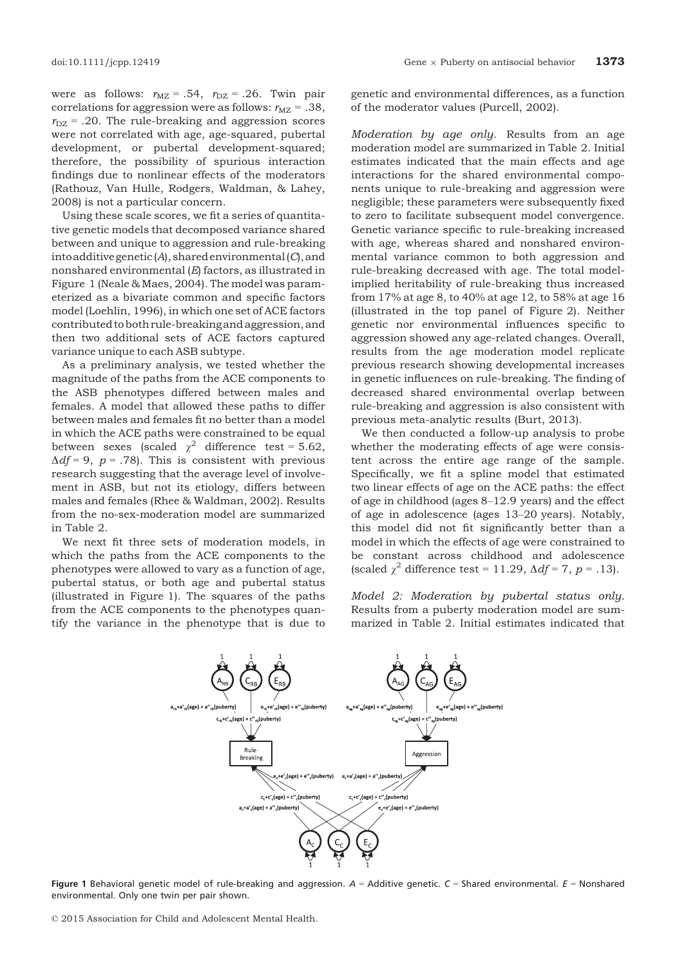were as follows:  $r_{\text{MZ}} = .54$ ,  $r_{\text{DZ}} = .26$ . Twin pair correlations for aggression were as follows:  $r_{\text{MZ}} = .38$ ,  $r_{\text{DZ}}$  = .20. The rule-breaking and aggression scores were not correlated with age, age-squared, pubertal development, or pubertal development-squared; therefore, the possibility of spurious interaction findings due to nonlinear effects of the moderators (Rathouz, Van Hulle, Rodgers, Waldman, & Lahey, 2008) is not a particular concern.

Using these scale scores, we fit a series of quantitative genetic models that decomposed variance shared between and unique to aggression and rule-breaking into additive genetic  $(A)$ , shared environmental  $(C)$ , and nonshared environmental (E) factors, as illustrated in Figure 1 (Neale & Maes, 2004). The model was parameterized as a bivariate common and specific factors model (Loehlin, 1996), in which one set of ACE factors contributed to both rule-breaking and aggression, and then two additional sets of ACE factors captured variance unique to each ASB subtype.

As a preliminary analysis, we tested whether the magnitude of the paths from the ACE components to the ASB phenotypes differed between males and females. A model that allowed these paths to differ between males and females fit no better than a model in which the ACE paths were constrained to be equal between sexes (scaled  $\chi^2$  difference test = 5.62,  $\Delta df = 9$ ,  $p = .78$ ). This is consistent with previous research suggesting that the average level of involvement in ASB, but not its etiology, differs between males and females (Rhee & Waldman, 2002). Results from the no-sex-moderation model are summarized in Table 2.

We next fit three sets of moderation models, in which the paths from the ACE components to the phenotypes were allowed to vary as a function of age, pubertal status, or both age and pubertal status (illustrated in Figure 1). The squares of the paths from the ACE components to the phenotypes quantify the variance in the phenotype that is due to

genetic and environmental differences, as a function of the moderator values (Purcell, 2002).

Moderation by age only. Results from an age moderation model are summarized in Table 2. Initial estimates indicated that the main effects and age interactions for the shared environmental components unique to rule-breaking and aggression were negligible; these parameters were subsequently fixed to zero to facilitate subsequent model convergence. Genetic variance specific to rule-breaking increased with age, whereas shared and nonshared environmental variance common to both aggression and rule-breaking decreased with age. The total modelimplied heritability of rule-breaking thus increased from 17% at age 8, to 40% at age 12, to 58% at age 16 (illustrated in the top panel of Figure 2). Neither genetic nor environmental influences specific to aggression showed any age-related changes. Overall, results from the age moderation model replicate previous research showing developmental increases in genetic influences on rule-breaking. The finding of decreased shared environmental overlap between rule-breaking and aggression is also consistent with previous meta-analytic results (Burt, 2013).

We then conducted a follow-up analysis to probe whether the moderating effects of age were consistent across the entire age range of the sample. Specifically, we fit a spline model that estimated two linear effects of age on the ACE paths: the effect of age in childhood (ages 8–12.9 years) and the effect of age in adolescence (ages 13–20 years). Notably, this model did not fit significantly better than a model in which the effects of age were constrained to be constant across childhood and adolescence (scaled  $\chi^2$  difference test = 11.29,  $\Delta df = 7$ , p = .13).

Model 2: Moderation by pubertal status only. Results from a puberty moderation model are summarized in Table 2. Initial estimates indicated that



Figure 1 Behavioral genetic model of rule-breaking and aggression.  $A =$  Additive genetic.  $C =$  Shared environmental.  $E =$  Nonshared environmental. Only one twin per pair shown.

© 2015 Association for Child and Adolescent Mental Health.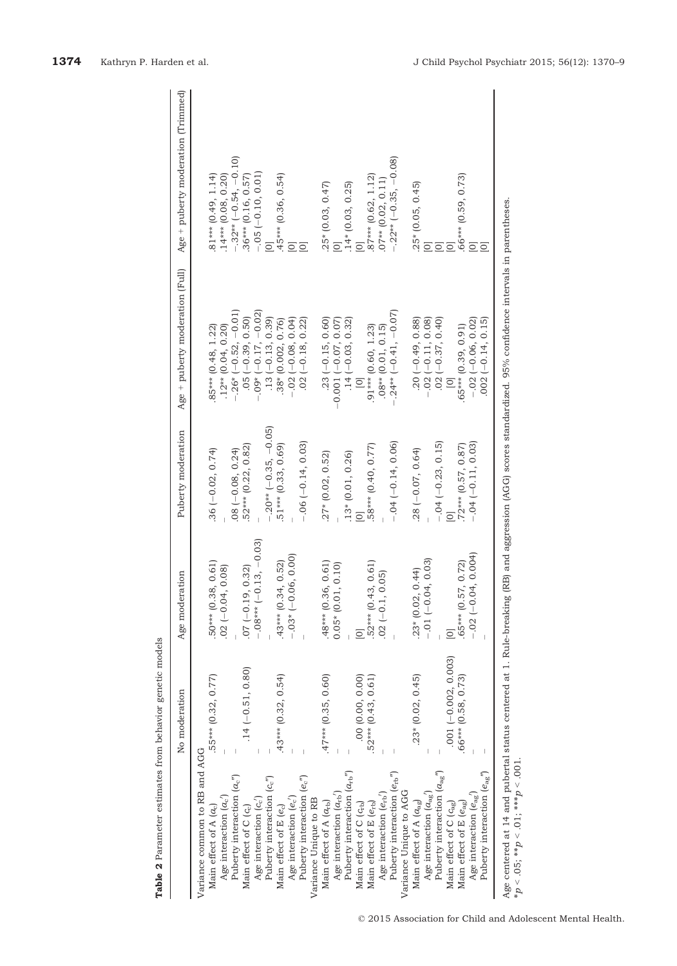|                                                        | No moderation          | Age moderation            | Puberty moderation                           | Age + puberty moderation (Full)                                                                                               | Age + puberty moderation (Trimmed) |
|--------------------------------------------------------|------------------------|---------------------------|----------------------------------------------|-------------------------------------------------------------------------------------------------------------------------------|------------------------------------|
| Variance common to RB and AGG                          |                        |                           |                                              |                                                                                                                               |                                    |
| Main effect of A $(a_c)$                               | .55*** (0.32, 0.77)    | 50*** (0.38, 0.61)        | $.36 (-0.02, 0.74)$                          | $.85***$ (0.48, 1.22)                                                                                                         | $.81***$ (0.49, 1.14)              |
| Age interaction $(a_c)$                                |                        | $.02 (-0.04, 0.08)$       |                                              | $.12**$ (0.04, 0.20)                                                                                                          | $.14***$ (0.08, 0.20)              |
| Puberty interaction $(a_c")$                           |                        |                           |                                              | $-.26*(-0.52, -0.01)$                                                                                                         | $-.32**(-0.54, -0.10)$             |
| Main effect of $C$ $(cc)$                              | $.14 (-0.51, 0.80)$    | $.07 (-0.19, 0.32)$       | $.08 (-0.08, 0.24)$<br>$.52*** (0.22, 0.82)$ | $.05 (-0.39, 0.50)$                                                                                                           | $.36***$ (0.16, 0.57)              |
| Age interaction $(c_c)$                                |                        | $-0.08***$ (-0.13, -0.03) |                                              | $.09* (-0.17, -0.02)$                                                                                                         | $-.05 (-0.10, 0.01)$               |
| Puberty interaction (ce")                              |                        |                           | $-.20**$ (-0.35, -0.05)                      | $.13 (-0.13, 0.39)$                                                                                                           | $\overline{O}$                     |
| Main effect of E (ec)                                  | $.43***$ (0.32, 0.54)  | $.43***$ (0.34, 0.52)     | $.51***$ $(0.33, 0.69)$                      | 38* (0.002, 0.76)                                                                                                             | $.45***$ (0.36, 0.54)              |
| Age interaction $(e_c)$                                |                        | $-.03* (-0.06, 0.00)$     |                                              | $-0.02(-0.08, 0.04)$                                                                                                          | $\overline{\Xi}$                   |
| Puberty interaction (e.")                              |                        |                           | $-.06 (-0.14, 0.03)$                         | $.02(-0.18, 0.22)$                                                                                                            | $\overline{O}$                     |
| Variance Unique to RB                                  |                        |                           |                                              |                                                                                                                               |                                    |
| Main effect of A $(a_{rb})$                            | $.47***$ (0.35, 0.60)  | $.48***$ (0.36, 0.61)     | $.27*(0.02, 0.52)$                           | $.23 (-0.15, 0.60)$                                                                                                           | $.25*(0.03, 0.47)$                 |
| Age interaction $(a_{rb})$                             |                        | $0.05*(0.01, 0.10)$       |                                              | $-0.001(-0.07, 0.07)$                                                                                                         | $\overline{O}$                     |
| Puberty interaction $(a_{rb}^{\prime\prime})$          |                        |                           | $.13*(0.01, 0.26)$                           | $.14 (-0.03, 0.32)$                                                                                                           | $.14*(0.03, 0.25)$                 |
| Main effect of C (c <sub>rb</sub> )                    | .00(0.00, 0.00)        | $\overline{O}$            |                                              | $\overline{a}$                                                                                                                | $\overline{O}$                     |
| Main effect of E $(e_{rb})$                            | .52*** (0.43, 0.61)    | 52*** (0.43, 0.61)        | .58*** (0.40, 0.77)                          | $.91***$ (0.60, 1.23)                                                                                                         | $87***$ (0.62, 1.12)               |
| Age interaction $(e_{rb})$                             |                        | $.02 (-0.1, 0.05)$        |                                              | $.08**$ $(0.01, 0.15)$                                                                                                        | $.07**$ $(0.02, 0.11)$             |
| Puberty interaction $(e_{rb})$                         |                        |                           | $-.04 (-0.14, 0.06)$                         | $-.24**$ (-0.41, -0.07)                                                                                                       | $-.22**$ (-0.35, -0.08)            |
| Variance Unique to AGG                                 |                        |                           |                                              |                                                                                                                               |                                    |
| Main effect of A $(a_{\rm ag})$                        | $.23*(0.02, 0.45)$     | $.23*(0.02, 0.44)$        | $.28 (-0.07, 0.64)$                          | $\begin{array}{c} \cdot \cdot \cdot \cdot \cdot \cdot \cdot 0.88 \\ -0.2 (-0.11, 0.08) \\ 02 (-0.37, 0.40) \\ 01 \end{array}$ | $.25*(0.05, 0.45)$                 |
| Age interaction $(a_{ag})$                             |                        | $-0.01(-0.04, 0.03)$      |                                              |                                                                                                                               | $\overline{0}$                     |
| Puberty interaction $(a_{\rm ag}^{\phantom{\dagger}})$ |                        |                           | $-.04 (-0.23, 0.15)$                         |                                                                                                                               |                                    |
| Main effect of C ( $c_{ag}$ )                          | $.001 (-0.002, 0.003)$ | $\overline{\circ}$        |                                              |                                                                                                                               | $\overline{\Omega}$                |
| Main effect of E $(e_{ag})$                            | .66*** (0.58, 0.73)    | 65*** (0.57, 0.72)        | $.72***$ (0.57, 0.87)                        | $.65***$ $(0.39, 0.91)$                                                                                                       | .66*** (0.59, 0.73)                |
| Age interaction $(e_{\rm ag})$                         |                        | $-.02 (-0.04, 0.004)$     | $-0.04(-0.11, 0.03)$                         | $-.02 (-0.06, 0.02)$                                                                                                          | $\overline{Q}$                     |
| Puberty interaction $\left( {e_{\rm{ag}}}'' \right)$   |                        |                           |                                              | $002 (-0.14, 0.15)$                                                                                                           | $\overline{O}$                     |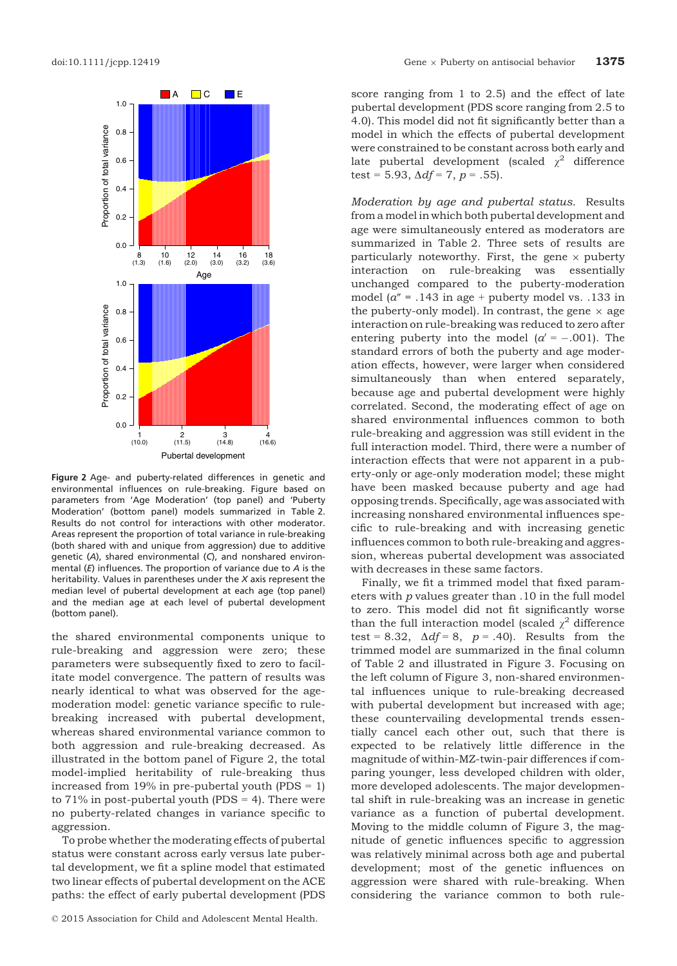

Figure 2 Age- and puberty-related differences in genetic and environmental influences on rule-breaking. Figure based on parameters from 'Age Moderation' (top panel) and 'Puberty Moderation' (bottom panel) models summarized in Table 2. Results do not control for interactions with other moderator. Areas represent the proportion of total variance in rule-breaking (both shared with and unique from aggression) due to additive genetic (A), shared environmental (C), and nonshared environmental  $(E)$  influences. The proportion of variance due to  $A$  is the heritability. Values in parentheses under the X axis represent the median level of pubertal development at each age (top panel) and the median age at each level of pubertal development (bottom panel).

the shared environmental components unique to rule-breaking and aggression were zero; these parameters were subsequently fixed to zero to facilitate model convergence. The pattern of results was nearly identical to what was observed for the agemoderation model: genetic variance specific to rulebreaking increased with pubertal development, whereas shared environmental variance common to both aggression and rule-breaking decreased. As illustrated in the bottom panel of Figure 2, the total model-implied heritability of rule-breaking thus increased from 19% in pre-pubertal youth (PDS  $= 1$ ) to  $71\%$  in post-pubertal youth (PDS = 4). There were no puberty-related changes in variance specific to aggression.

To probe whether the moderating effects of pubertal status were constant across early versus late pubertal development, we fit a spline model that estimated two linear effects of pubertal development on the ACE paths: the effect of early pubertal development (PDS

score ranging from 1 to 2.5) and the effect of late pubertal development (PDS score ranging from 2.5 to 4.0). This model did not fit significantly better than a model in which the effects of pubertal development were constrained to be constant across both early and late pubertal development (scaled  $\chi^2$  difference test = 5.93,  $\Delta df = 7$ ,  $p = .55$ ).

Moderation by age and pubertal status. Results from a model in which both pubertal development and age were simultaneously entered as moderators are summarized in Table 2. Three sets of results are particularly noteworthy. First, the gene  $\times$  puberty interaction on rule-breaking was essentially unchanged compared to the puberty-moderation model ( $a'' = .143$  in age + puberty model vs. .133 in the puberty-only model). In contrast, the gene  $\times$  age interaction on rule-breaking was reduced to zero after entering puberty into the model  $\alpha' = -.001$ . The standard errors of both the puberty and age moderation effects, however, were larger when considered simultaneously than when entered separately, because age and pubertal development were highly correlated. Second, the moderating effect of age on shared environmental influences common to both rule-breaking and aggression was still evident in the full interaction model. Third, there were a number of interaction effects that were not apparent in a puberty-only or age-only moderation model; these might have been masked because puberty and age had opposing trends. Specifically, age was associated with increasing nonshared environmental influences specific to rule-breaking and with increasing genetic influences common to both rule-breaking and aggression, whereas pubertal development was associated with decreases in these same factors.

Finally, we fit a trimmed model that fixed parameters with p values greater than .10 in the full model to zero. This model did not fit significantly worse than the full interaction model (scaled  $\chi^2$  difference test = 8.32,  $\Delta df = 8$ ,  $p = .40$ ). Results from the trimmed model are summarized in the final column of Table 2 and illustrated in Figure 3. Focusing on the left column of Figure 3, non-shared environmental influences unique to rule-breaking decreased with pubertal development but increased with age; these countervailing developmental trends essentially cancel each other out, such that there is expected to be relatively little difference in the magnitude of within-MZ-twin-pair differences if comparing younger, less developed children with older, more developed adolescents. The major developmental shift in rule-breaking was an increase in genetic variance as a function of pubertal development. Moving to the middle column of Figure 3, the magnitude of genetic influences specific to aggression was relatively minimal across both age and pubertal development; most of the genetic influences on aggression were shared with rule-breaking. When considering the variance common to both rule-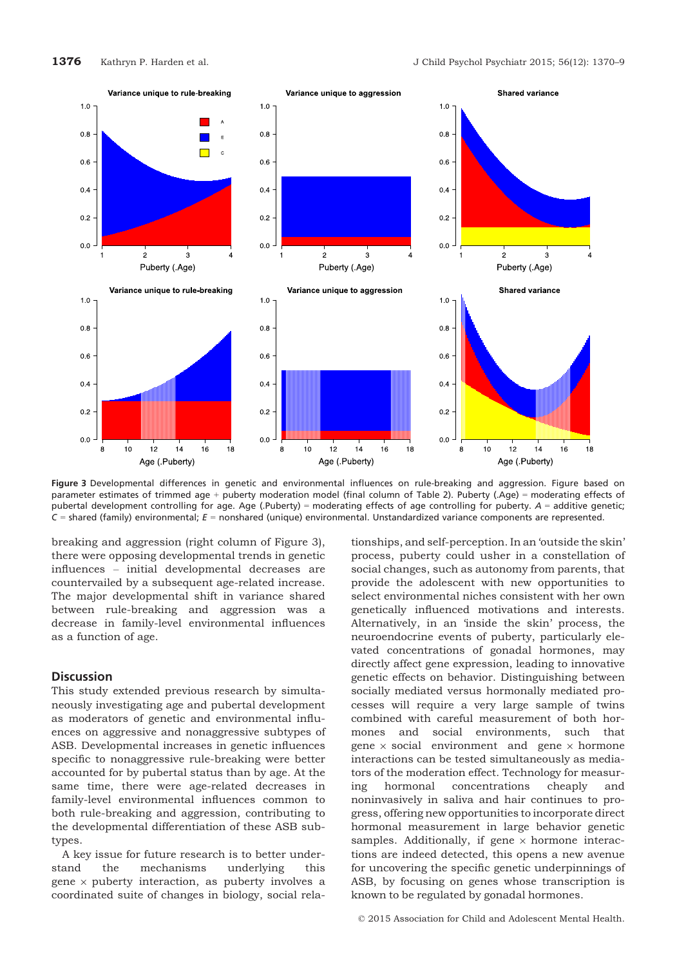

Figure 3 Developmental differences in genetic and environmental influences on rule-breaking and aggression. Figure based on parameter estimates of trimmed age + puberty moderation model (final column of Table 2). Puberty (.Age) = moderating effects of pubertal development controlling for age. Age (.Puberty) = moderating effects of age controlling for puberty. A = additive genetic;  $C$  = shared (family) environmental;  $E$  = nonshared (unique) environmental. Unstandardized variance components are represented.

breaking and aggression (right column of Figure 3), there were opposing developmental trends in genetic influences – initial developmental decreases are countervailed by a subsequent age-related increase. The major developmental shift in variance shared between rule-breaking and aggression was a decrease in family-level environmental influences as a function of age.

#### **Discussion**

This study extended previous research by simultaneously investigating age and pubertal development as moderators of genetic and environmental influences on aggressive and nonaggressive subtypes of ASB. Developmental increases in genetic influences specific to nonaggressive rule-breaking were better accounted for by pubertal status than by age. At the same time, there were age-related decreases in family-level environmental influences common to both rule-breaking and aggression, contributing to the developmental differentiation of these ASB subtypes.

A key issue for future research is to better understand the mechanisms underlying this gene  $\times$  puberty interaction, as puberty involves a coordinated suite of changes in biology, social rela-

tionships, and self-perception. In an 'outside the skin' process, puberty could usher in a constellation of social changes, such as autonomy from parents, that provide the adolescent with new opportunities to select environmental niches consistent with her own genetically influenced motivations and interests. Alternatively, in an 'inside the skin' process, the neuroendocrine events of puberty, particularly elevated concentrations of gonadal hormones, may directly affect gene expression, leading to innovative genetic effects on behavior. Distinguishing between socially mediated versus hormonally mediated processes will require a very large sample of twins combined with careful measurement of both hormones and social environments, such that gene  $\times$  social environment and gene  $\times$  hormone interactions can be tested simultaneously as mediators of the moderation effect. Technology for measuring hormonal concentrations cheaply and noninvasively in saliva and hair continues to progress, offering new opportunities to incorporate direct hormonal measurement in large behavior genetic samples. Additionally, if gene  $\times$  hormone interactions are indeed detected, this opens a new avenue for uncovering the specific genetic underpinnings of ASB, by focusing on genes whose transcription is known to be regulated by gonadal hormones.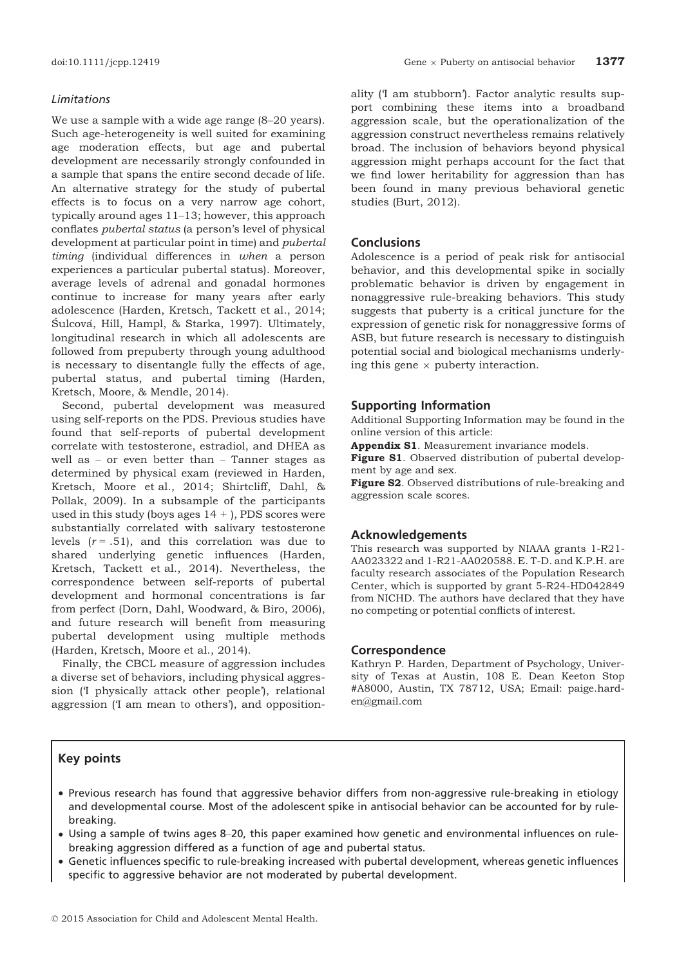#### Limitations

We use a sample with a wide age range (8–20 years). Such age-heterogeneity is well suited for examining age moderation effects, but age and pubertal development are necessarily strongly confounded in a sample that spans the entire second decade of life. An alternative strategy for the study of pubertal effects is to focus on a very narrow age cohort, typically around ages 11–13; however, this approach conflates pubertal status (a person's level of physical development at particular point in time) and pubertal timing (individual differences in when a person experiences a particular pubertal status). Moreover, average levels of adrenal and gonadal hormones continue to increase for many years after early adolescence (Harden, Kretsch, Tackett et al., 2014; Šulcová, Hill, Hampl, & Starka, 1997). Ultimately, longitudinal research in which all adolescents are followed from prepuberty through young adulthood is necessary to disentangle fully the effects of age, pubertal status, and pubertal timing (Harden, Kretsch, Moore, & Mendle, 2014).

Second, pubertal development was measured using self-reports on the PDS. Previous studies have found that self-reports of pubertal development correlate with testosterone, estradiol, and DHEA as well as – or even better than – Tanner stages as determined by physical exam (reviewed in Harden, Kretsch, Moore et al., 2014; Shirtcliff, Dahl, & Pollak, 2009). In a subsample of the participants used in this study (boys ages  $14 +$ ), PDS scores were substantially correlated with salivary testosterone levels  $(r = .51)$ , and this correlation was due to shared underlying genetic influences (Harden, Kretsch, Tackett et al., 2014). Nevertheless, the correspondence between self-reports of pubertal development and hormonal concentrations is far from perfect (Dorn, Dahl, Woodward, & Biro, 2006), and future research will benefit from measuring pubertal development using multiple methods (Harden, Kretsch, Moore et al., 2014).

Finally, the CBCL measure of aggression includes a diverse set of behaviors, including physical aggression ('I physically attack other people'), relational aggression ('I am mean to others'), and oppositionality ('I am stubborn'). Factor analytic results support combining these items into a broadband aggression scale, but the operationalization of the aggression construct nevertheless remains relatively broad. The inclusion of behaviors beyond physical aggression might perhaps account for the fact that we find lower heritability for aggression than has been found in many previous behavioral genetic studies (Burt, 2012).

# **Conclusions**

Adolescence is a period of peak risk for antisocial behavior, and this developmental spike in socially problematic behavior is driven by engagement in nonaggressive rule-breaking behaviors. This study suggests that puberty is a critical juncture for the expression of genetic risk for nonaggressive forms of ASB, but future research is necessary to distinguish potential social and biological mechanisms underlying this gene  $\times$  puberty interaction.

#### Supporting Information

Additional Supporting Information may be found in the online version of this article:

Appendix S1. Measurement invariance models.

Figure S1. Observed distribution of pubertal development by age and sex.

Figure S2. Observed distributions of rule-breaking and aggression scale scores.

#### Acknowledgements

This research was supported by NIAAA grants 1-R21- AA023322 and 1-R21-AA020588. E. T-D. and K.P.H. are faculty research associates of the Population Research Center, which is supported by grant 5-R24-HD042849 from NICHD. The authors have declared that they have no competing or potential conflicts of interest.

### Correspondence

Kathryn P. Harden, Department of Psychology, University of Texas at Austin, 108 E. Dean Keeton Stop #A8000, Austin, TX 78712, USA; Email: paige.harden@gmail.com

### Key points

- Previous research has found that aggressive behavior differs from non-aggressive rule-breaking in etiology and developmental course. Most of the adolescent spike in antisocial behavior can be accounted for by rulebreaking.
- Using a sample of twins ages 8–20, this paper examined how genetic and environmental influences on rulebreaking aggression differed as a function of age and pubertal status.
- Genetic influences specific to rule-breaking increased with pubertal development, whereas genetic influences specific to aggressive behavior are not moderated by pubertal development.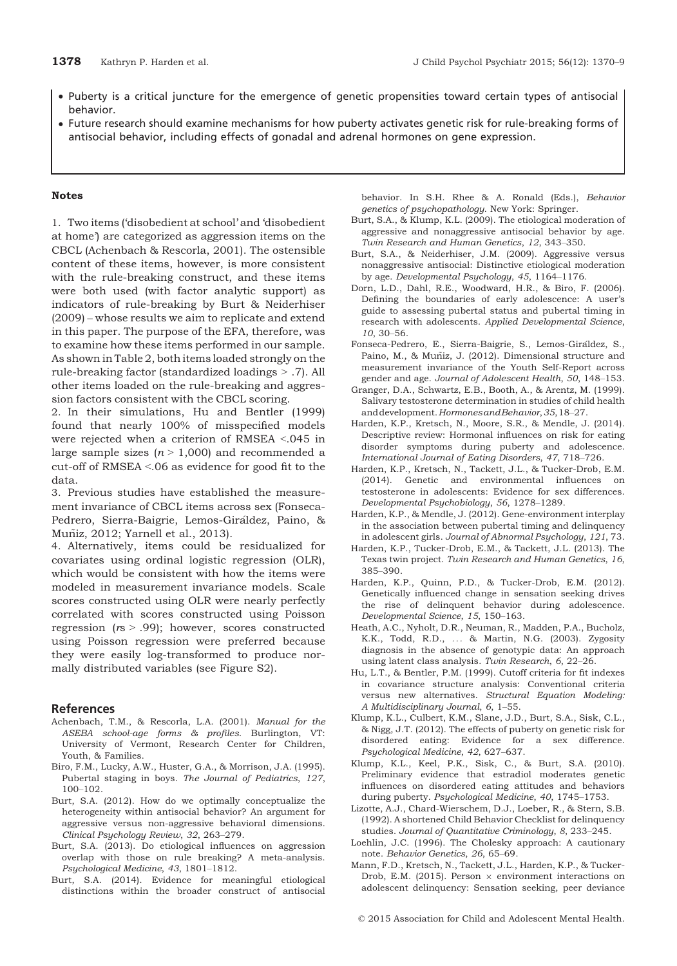- Puberty is a critical juncture for the emergence of genetic propensities toward certain types of antisocial behavior.
- Future research should examine mechanisms for how puberty activates genetic risk for rule-breaking forms of antisocial behavior, including effects of gonadal and adrenal hormones on gene expression.

#### Notes

1. Two items ('disobedient at school' and 'disobedient at home') are categorized as aggression items on the CBCL (Achenbach & Rescorla, 2001). The ostensible content of these items, however, is more consistent with the rule-breaking construct, and these items were both used (with factor analytic support) as indicators of rule-breaking by Burt & Neiderhiser (2009) – whose results we aim to replicate and extend in this paper. The purpose of the EFA, therefore, was to examine how these items performed in our sample. As shown in Table 2, both items loaded strongly on the rule-breaking factor (standardized loadings > .7). All other items loaded on the rule-breaking and aggression factors consistent with the CBCL scoring.

2. In their simulations, Hu and Bentler (1999) found that nearly 100% of misspecified models were rejected when a criterion of RMSEA <.045 in large sample sizes  $(n > 1,000)$  and recommended a cut-off of RMSEA <.06 as evidence for good fit to the data.

3. Previous studies have established the measurement invariance of CBCL items across sex (Fonseca-Pedrero, Sierra-Baigrie, Lemos-Giraldez, Paino, & - Muniz, 2012; Yarnell et al., 2013). ~

4. Alternatively, items could be residualized for covariates using ordinal logistic regression (OLR), which would be consistent with how the items were modeled in measurement invariance models. Scale scores constructed using OLR were nearly perfectly correlated with scores constructed using Poisson regression  $(rs > .99)$ ; however, scores constructed using Poisson regression were preferred because they were easily log-transformed to produce normally distributed variables (see Figure S2).

### **References**

- Achenbach, T.M., & Rescorla, L.A. (2001). Manual for the ASEBA school-age forms & profiles. Burlington, VT: University of Vermont, Research Center for Children, Youth, & Families.
- Biro, F.M., Lucky, A.W., Huster, G.A., & Morrison, J.A. (1995). Pubertal staging in boys. The Journal of Pediatrics, 127, 100–102.
- Burt, S.A. (2012). How do we optimally conceptualize the heterogeneity within antisocial behavior? An argument for aggressive versus non-aggressive behavioral dimensions. Clinical Psychology Review, 32, 263–279.
- Burt, S.A. (2013). Do etiological influences on aggression overlap with those on rule breaking? A meta-analysis. Psychological Medicine, 43, 1801–1812.
- Burt, S.A. (2014). Evidence for meaningful etiological distinctions within the broader construct of antisocial

behavior. In S.H. Rhee & A. Ronald (Eds.), Behavior genetics of psychopathology. New York: Springer.

- Burt, S.A., & Klump, K.L. (2009). The etiological moderation of aggressive and nonaggressive antisocial behavior by age. Twin Research and Human Genetics, 12, 343–350.
- Burt, S.A., & Neiderhiser, J.M. (2009). Aggressive versus nonaggressive antisocial: Distinctive etiological moderation by age. Developmental Psychology, 45, 1164–1176.
- Dorn, L.D., Dahl, R.E., Woodward, H.R., & Biro, F. (2006). Defining the boundaries of early adolescence: A user's guide to assessing pubertal status and pubertal timing in research with adolescents. Applied Developmental Science, 10, 30–56.
- Fonseca-Pedrero, E., Sierra-Baigrie, S., Lemos-Giraldez, S., Paino, M., & Muñiz, J. (2012). Dimensional structure and measurement invariance of the Youth Self-Report across gender and age. Journal of Adolescent Health, 50, 148–153.
- Granger, D.A., Schwartz, E.B., Booth, A., & Arentz, M. (1999). Salivary testosterone determination in studies of child health anddevelopment.HormonesandBehavior,35,18–27.
- Harden, K.P., Kretsch, N., Moore, S.R., & Mendle, J. (2014). Descriptive review: Hormonal influences on risk for eating disorder symptoms during puberty and adolescence. International Journal of Eating Disorders, 47, 718–726.
- Harden, K.P., Kretsch, N., Tackett, J.L., & Tucker-Drob, E.M. (2014). Genetic and environmental influences on testosterone in adolescents: Evidence for sex differences. Developmental Psychobiology, 56, 1278–1289.
- Harden, K.P., & Mendle, J. (2012). Gene-environment interplay in the association between pubertal timing and delinquency in adolescent girls. Journal of Abnormal Psychology, 121, 73.
- Harden, K.P., Tucker-Drob, E.M., & Tackett, J.L. (2013). The Texas twin project. Twin Research and Human Genetics, 16, 385–390.
- Harden, K.P., Quinn, P.D., & Tucker-Drob, E.M. (2012). Genetically influenced change in sensation seeking drives the rise of delinquent behavior during adolescence. Developmental Science, 15, 150–163.
- Heath, A.C., Nyholt, D.R., Neuman, R., Madden, P.A., Bucholz, K.K., Todd, R.D., ... & Martin, N.G. (2003). Zygosity diagnosis in the absence of genotypic data: An approach using latent class analysis. Twin Research, 6, 22–26.
- Hu, L.T., & Bentler, P.M. (1999). Cutoff criteria for fit indexes in covariance structure analysis: Conventional criteria versus new alternatives. Structural Equation Modeling: A Multidisciplinary Journal, 6, 1–55.
- Klump, K.L., Culbert, K.M., Slane, J.D., Burt, S.A., Sisk, C.L., & Nigg, J.T. (2012). The effects of puberty on genetic risk for disordered eating: Evidence for a sex difference. Psychological Medicine, 42, 627–637.
- Klump, K.L., Keel, P.K., Sisk, C., & Burt, S.A. (2010). Preliminary evidence that estradiol moderates genetic influences on disordered eating attitudes and behaviors during puberty. Psychological Medicine, 40, 1745–1753.
- Lizotte, A.J., Chard-Wierschem, D.J., Loeber, R., & Stern, S.B. (1992). A shortened Child Behavior Checklist for delinquency studies. Journal of Quantitative Criminology, 8, 233–245.
- Loehlin, J.C. (1996). The Cholesky approach: A cautionary note. Behavior Genetics, 26, 65–69.
- Mann, F.D., Kretsch, N., Tackett, J.L., Harden, K.P., & Tucker-Drob, E.M. (2015). Person  $\times$  environment interactions on adolescent delinquency: Sensation seeking, peer deviance